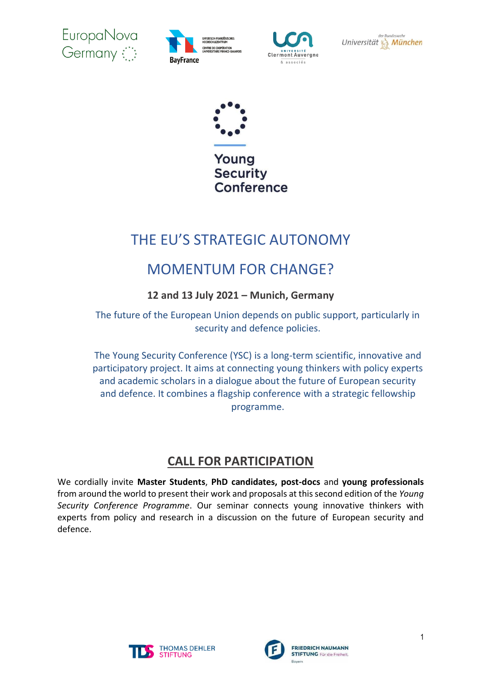









# THE EU'S STRATEGIC AUTONOMY

# MOMENTUM FOR CHANGE?

### **12 and 13 July 2021 – Munich, Germany**

The future of the European Union depends on public support, particularly in security and defence policies.

The Young Security Conference (YSC) is a long-term scientific, innovative and participatory project. It aims at connecting young thinkers with policy experts and academic scholars in a dialogue about the future of European security and defence. It combines a flagship conference with a strategic fellowship programme.

## **CALL FOR PARTICIPATION**

We cordially invite **Master Students**, **PhD candidates, post-docs** and **young professionals** from around the world to present their work and proposals at this second edition of the *Young Security Conference Programme*. Our seminar connects young innovative thinkers with experts from policy and research in a discussion on the future of European security and defence.



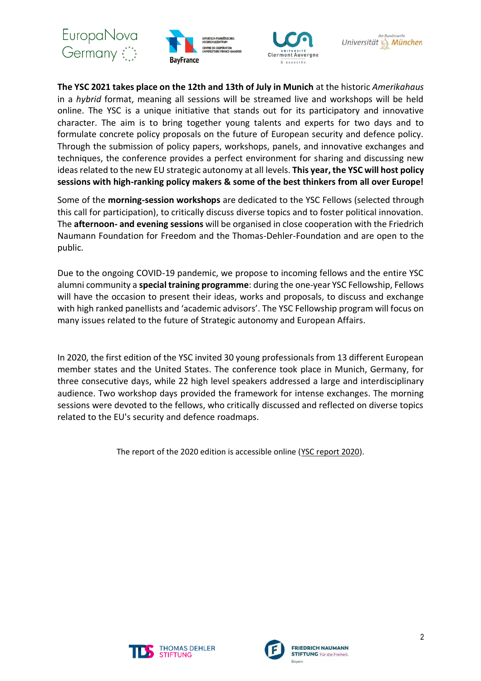







**The YSC 2021 takes place on the 12th and 13th of July in Munich** at the historic *Amerikahaus* in a *hybrid* format, meaning all sessions will be streamed live and workshops will be held online. The YSC is a unique initiative that stands out for its participatory and innovative character. The aim is to bring together young talents and experts for two days and to formulate concrete policy proposals on the future of European security and defence policy. Through the submission of policy papers, workshops, panels, and innovative exchanges and techniques, the conference provides a perfect environment for sharing and discussing new ideas related to the new EU strategic autonomy at all levels. **This year, the YSC will host policy sessions with high-ranking policy makers & some of the best thinkers from all over Europe!**

Some of the **morning-session workshops** are dedicated to the YSC Fellows (selected through this call for participation), to critically discuss diverse topics and to foster political innovation. The **afternoon- and evening sessions** will be organised in close cooperation with the Friedrich Naumann Foundation for Freedom and the Thomas-Dehler-Foundation and are open to the public.

Due to the ongoing COVID-19 pandemic, we propose to incoming fellows and the entire YSC alumni community a **special training programme**: during the one-year YSC Fellowship, Fellows will have the occasion to present their ideas, works and proposals, to discuss and exchange with high ranked panellists and 'academic advisors'. The YSC Fellowship program will focus on many issues related to the future of Strategic autonomy and European Affairs.

In 2020, the first edition of the YSC invited 30 young professionals from 13 different European member states and the United States. The conference took place in Munich, Germany, for three consecutive days, while 22 high level speakers addressed a large and interdisciplinary audience. Two workshop days provided the framework for intense exchanges. The morning sessions were devoted to the fellows, who critically discussed and reflected on diverse topics related to the EU's security and defence roadmaps.

The report of the 2020 edition is accessible online [\(YSC report 2020\)](https://uploads-ssl.webflow.com/594919aeb0d3db0e7a726347/5e9ee95ac70fa5c97e10bdb5_Young%20Munich%20Security%20Conference%20Feb%202020%20Report%20.pdf).



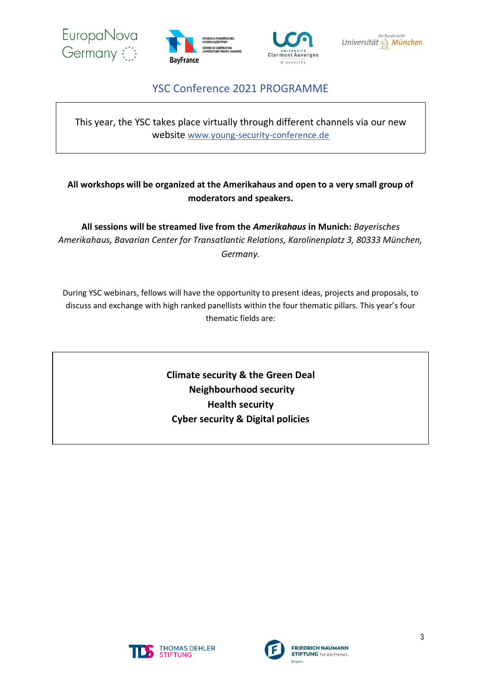







### YSC Conference 2021 PROGRAMME

This year, the YSC takes place virtually through different channels via our new website [www.young-security-conference.de](http://www.young-security-conference.de/)

#### **All workshops will be organized at the Amerikahaus and open to a very small group of moderators and speakers.**

**All sessions will be streamed live from the** *Amerikahaus* **in Munich:** *Bayerisches Amerikahaus, Bavarian Center for Transatlantic Relations, Karolinenplatz 3, 80333 München, Germany.*

During YSC webinars, fellows will have the opportunity to present ideas, projects and proposals, to discuss and exchange with high ranked panellists within the four thematic pillars. This year's four thematic fields are:

> **Climate security & the Green Deal Neighbourhood security Health security Cyber security & Digital policies**



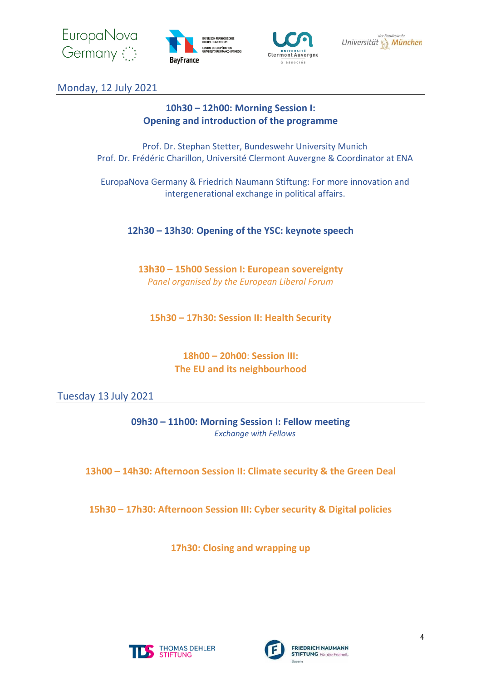







Monday, 12 July 2021

### **10h30 – 12h00: Morning Session I: Opening and introduction of the programme**

Prof. Dr. Stephan Stetter, Bundeswehr University Munich Prof. Dr. Frédéric Charillon, Université Clermont Auvergne & Coordinator at ENA

EuropaNova Germany & Friedrich Naumann Stiftung: For more innovation and intergenerational exchange in political affairs.

**12h30 – 13h30**: **Opening of the YSC: keynote speech**

**13h30 – 15h00 Session I: European sovereignty** *Panel organised by the European Liberal Forum*

**15h30 – 17h30: Session II: Health Security**

**18h00 – 20h00**: **Session III: The EU and its neighbourhood**

Tuesday 13 July 2021

**09h30 – 11h00: Morning Session I: Fellow meeting** *Exchange with Fellows* 

**13h00 – 14h30: Afternoon Session II: Climate security & the Green Deal**

**15h30 – 17h30: Afternoon Session III: Cyber security & Digital policies**

**17h30: Closing and wrapping up**



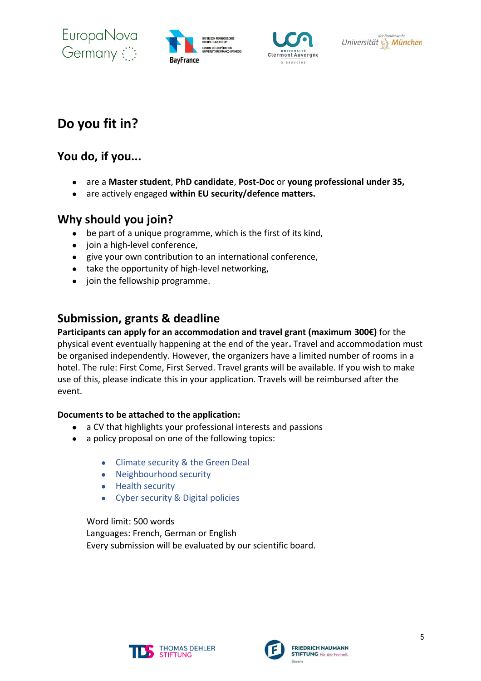EuropaNova Germany







# **Do you fit in?**

## **You do, if you...**

- are a **Master student**, **PhD candidate**, **Post-Doc** or **young professional under 35,**
- are actively engaged **within EU security/defence matters.**

## **Why should you join?**

- be part of a unique programme, which is the first of its kind,
- join a high-level conference,
- give your own contribution to an international conference,
- take the opportunity of high-level networking,
- join the fellowship programme.

## **Submission, grants & deadline**

**Participants can apply for an accommodation and travel grant (maximum 300€)** for the physical event eventually happening at the end of the year**.** Travel and accommodation must be organised independently. However, the organizers have a limited number of rooms in a hotel. The rule: First Come, First Served. Travel grants will be available. If you wish to make use of this, please indicate this in your application. Travels will be reimbursed after the event.

#### **Documents to be attached to the application:**

- a CV that highlights your professional interests and passions
- a policy proposal on one of the following topics:
	- Climate security & the Green Deal
	- Neighbourhood security
	- Health security
	- Cyber security & Digital policies

Word limit: 500 words Languages: French, German or English Every submission will be evaluated by our scientific board.